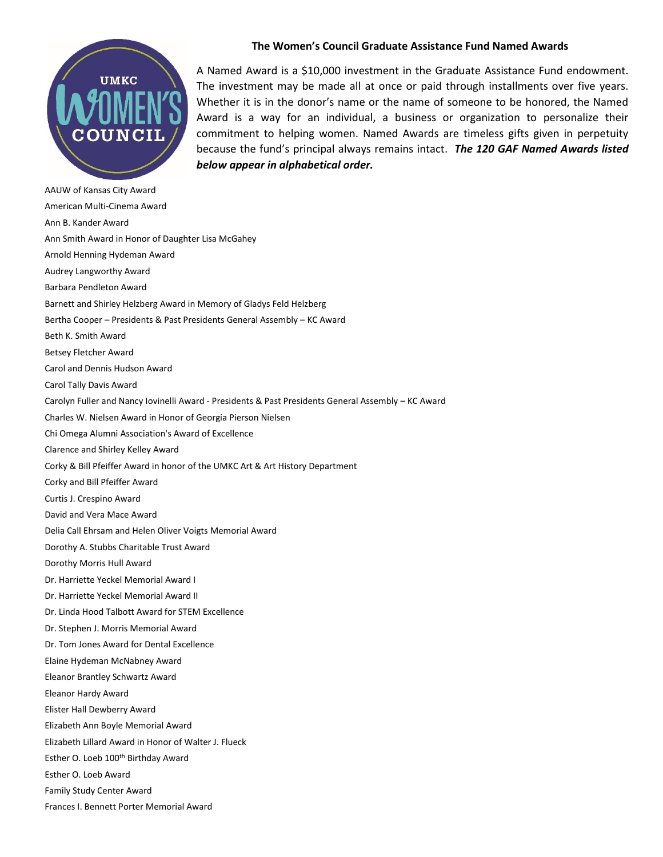

A Named Award is a \$10,000 investment in the Graduate Assistance Fund endowment. The investment may be made all at once or paid through installments over five years. Whether it is in the donor's name or the name of someone to be honored, the Named Award is a way for an individual, a business or organization to personalize their commitment to helping women. Named Awards are timeless gifts given in perpetuity because the fund's principal always remains intact. *The 120 GAF Named Awards listed below appear in alphabetical order.*

AAUW of Kansas City Award American Multi-Cinema Award Ann B. Kander Award Ann Smith Award in Honor of Daughter Lisa McGahey Arnold Henning Hydeman Award Audrey Langworthy Award Barbara Pendleton Award Barnett and Shirley Helzberg Award in Memory of Gladys Feld Helzberg Bertha Cooper – Presidents & Past Presidents General Assembly – KC Award Beth K. Smith Award Betsey Fletcher Award Carol and Dennis Hudson Award Carol Tally Davis Award Carolyn Fuller and Nancy Iovinelli Award - Presidents & Past Presidents General Assembly – KC Award Charles W. Nielsen Award in Honor of Georgia Pierson Nielsen Chi Omega Alumni Association's Award of Excellence Clarence and Shirley Kelley Award Corky & Bill Pfeiffer Award in honor of the UMKC Art & Art History Department Corky and Bill Pfeiffer Award Curtis J. Crespino Award David and Vera Mace Award Delia Call Ehrsam and Helen Oliver Voigts Memorial Award Dorothy A. Stubbs Charitable Trust Award Dorothy Morris Hull Award Dr. Harriette Yeckel Memorial Award I Dr. Harriette Yeckel Memorial Award II Dr. Linda Hood Talbott Award for STEM Excellence Dr. Stephen J. Morris Memorial Award Dr. Tom Jones Award for Dental Excellence Elaine Hydeman McNabney Award Eleanor Brantley Schwartz Award Eleanor Hardy Award Elister Hall Dewberry Award Elizabeth Ann Boyle Memorial Award Elizabeth Lillard Award in Honor of Walter J. Flueck Esther O. Loeb 100th Birthday Award Esther O. Loeb Award Family Study Center Award Frances I. Bennett Porter Memorial Award

## **The Women's Council Graduate Assistance Fund Named Awards**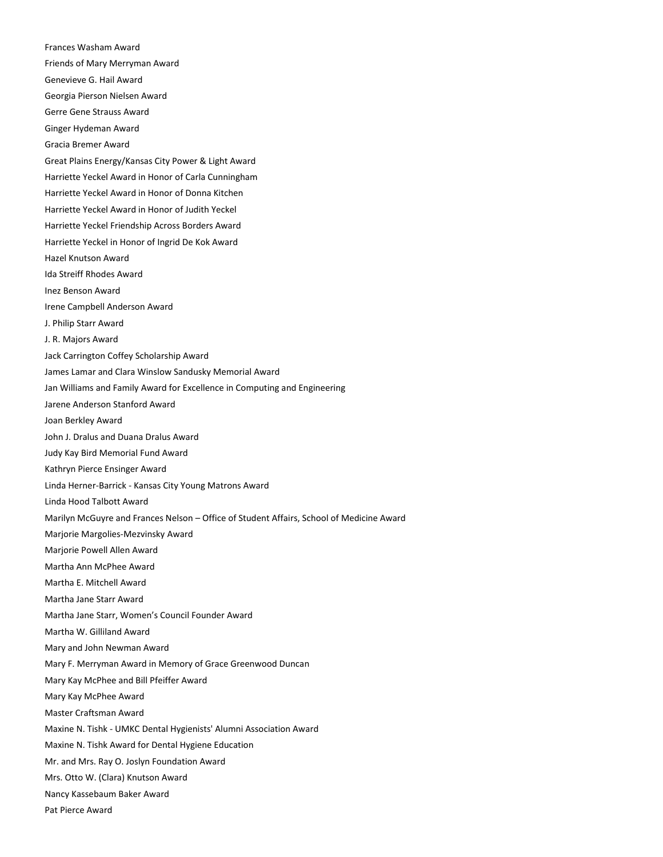Frances Washam Award Friends of Mary Merryman Award Genevieve G. Hail Award Georgia Pierson Nielsen Award Gerre Gene Strauss Award Ginger Hydeman Award Gracia Bremer Award Great Plains Energy/Kansas City Power & Light Award Harriette Yeckel Award in Honor of Carla Cunningham Harriette Yeckel Award in Honor of Donna Kitchen Harriette Yeckel Award in Honor of Judith Yeckel Harriette Yeckel Friendship Across Borders Award Harriette Yeckel in Honor of Ingrid De Kok Award Hazel Knutson Award Ida Streiff Rhodes Award Inez Benson Award Irene Campbell Anderson Award J. Philip Starr Award J. R. Majors Award Jack Carrington Coffey Scholarship Award James Lamar and Clara Winslow Sandusky Memorial Award Jan Williams and Family Award for Excellence in Computing and Engineering Jarene Anderson Stanford Award Joan Berkley Award John J. Dralus and Duana Dralus Award Judy Kay Bird Memorial Fund Award Kathryn Pierce Ensinger Award Linda Herner-Barrick - Kansas City Young Matrons Award Linda Hood Talbott Award Marilyn McGuyre and Frances Nelson – Office of Student Affairs, School of Medicine Award Marjorie Margolies-Mezvinsky Award Marjorie Powell Allen Award Martha Ann McPhee Award Martha E. Mitchell Award Martha Jane Starr Award Martha Jane Starr, Women's Council Founder Award Martha W. Gilliland Award Mary and John Newman Award Mary F. Merryman Award in Memory of Grace Greenwood Duncan Mary Kay McPhee and Bill Pfeiffer Award Mary Kay McPhee Award Master Craftsman Award Maxine N. Tishk - UMKC Dental Hygienists' Alumni Association Award Maxine N. Tishk Award for Dental Hygiene Education Mr. and Mrs. Ray O. Joslyn Foundation Award Mrs. Otto W. (Clara) Knutson Award Nancy Kassebaum Baker Award Pat Pierce Award